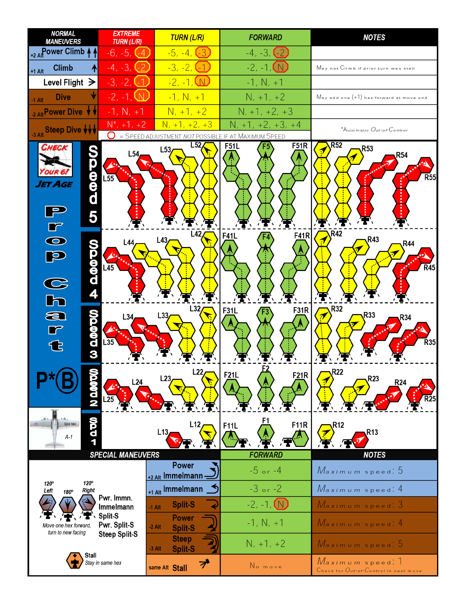| <b>NORMAL</b><br><b>MANEUVERS</b>                                        | <b>EXTREME</b><br><b>TURN (L/R)</b>  | <b>TURN (L/R)</b>                                                      | <b>FORWARD</b>                              | <b>NOTES</b>                                              |  |  |  |  |  |
|--------------------------------------------------------------------------|--------------------------------------|------------------------------------------------------------------------|---------------------------------------------|-----------------------------------------------------------|--|--|--|--|--|
| +2 AllPower Climb                                                        | $-6, -5, (-4)$                       | $-5, -4, (-3)$                                                         | $-4, -3, (-2)$                              |                                                           |  |  |  |  |  |
| <b>Climb</b><br>$+1$ Alt                                                 | $-4, -3,$                            | $-3, -2, (-1)$                                                         | $-2, -1, \infty$                            | May not Climb if prior turn was stall                     |  |  |  |  |  |
| Level Flight $\geq$                                                      | $-3, -2, -1$                         | $-2, -1, \Box$                                                         | $-1, N, +1$                                 |                                                           |  |  |  |  |  |
| <b>Dive</b><br>$-1$ Alt                                                  | $-2, -1, \mathbb{W}$                 | $-1, N, +1$                                                            | $N, +1, +2$                                 | $M$ ay add one $(+1)$ hex forward at move end             |  |  |  |  |  |
| 2 Alt Power Dive V V                                                     | $-1, N, +1$                          | $N, +1, +2$                                                            | $N, +1, +2, +3$                             |                                                           |  |  |  |  |  |
| -3 Alt Steep Dive VVV                                                    | $N^*$ , +1, +2<br>U.                 | $N, +1, +2, +3$<br>= SPEED ADJUSTMENT NOT POSSIBLE IF AT MAXIMUM SPEED | $N, +1, +2, +3, +4$                         | $^*$ Automatic $O$ ut-of- $C$ ontrol                      |  |  |  |  |  |
| CHECK<br>e<br>d<br>d<br>ET AGE<br>5                                      | L54<br>$L\overline{55}$              | L52<br>L53                                                             | <b>F51R</b><br><b>F51L</b>                  | R52<br><b>R53</b><br>R54<br>$\overline{R}55$              |  |  |  |  |  |
| $\overline{\bullet}$<br><u>Vo.oo.o</u><br>$\Theta$<br>$\frac{1}{2}$<br>4 | 44<br>$L\overline{45}$               | L42<br>L43                                                             | <b>F41R</b><br>F41L                         | R42<br>R43<br><b>R44</b><br><b>R45</b>                    |  |  |  |  |  |
| a<br>r<br><b>JOQDO</b><br>᠊ᢗᡶ<br>3                                       | L34<br>$L\overline{35}$              | L32<br>L33                                                             | <b>F31R</b><br>F31L                         | R32<br>R33<br>R34<br><b>R35</b>                           |  |  |  |  |  |
| baa                                                                      | L24                                  | L22<br>L23                                                             | <b>F21L</b><br>F21R                         | <b>R22</b><br>R <sub>23</sub><br><b>R24</b>               |  |  |  |  |  |
| <b>QQD</b><br><b>504 NH</b><br>$A-1$                                     | <b>SPECIAL MANEUVERS</b>             | L12<br>L13                                                             | 61<br><b>F11R</b><br>F11L<br><b>FORWARD</b> | <b>R12</b><br><b>R13</b><br><b>NOTES</b>                  |  |  |  |  |  |
|                                                                          |                                      | <b>Power</b>                                                           | $-5$ or $-4$                                | Maximum speed: 5                                          |  |  |  |  |  |
| $120^\circ$<br>120°                                                      |                                      | +2 Alt Immelmann -                                                     | $-3$ or $-2$                                |                                                           |  |  |  |  |  |
| <b>Right</b><br>Left<br>180°                                             | Pwr. Immn.                           | +1 Alt Immelmann                                                       |                                             | Maximum speed: 4                                          |  |  |  |  |  |
| Move one hex forward,                                                    | Immelmann<br>Split-S<br>Pwr. Split-S | <b>Split-S</b><br>$-1$ Alt<br><b>Power</b>                             | $-2, -1, (N)$<br>$-1, N, +1$                | $Maximum$ speed: $3$<br>Maximum speed: 4                  |  |  |  |  |  |
| turn to new facing                                                       | <b>Steep Split-S</b>                 | $-2$ Alt<br><b>Split-S</b><br><b>Steep</b>                             | $N, +1, +2$                                 | Maximum speed: 5                                          |  |  |  |  |  |
| Stall                                                                    | Stay in same hex                     | <b>Split-S</b><br>$-3$ Alt<br>ブ<br>same Alt Stall                      | No move                                     | Maximum speed. 1<br>Check for Out-of-Control in next move |  |  |  |  |  |